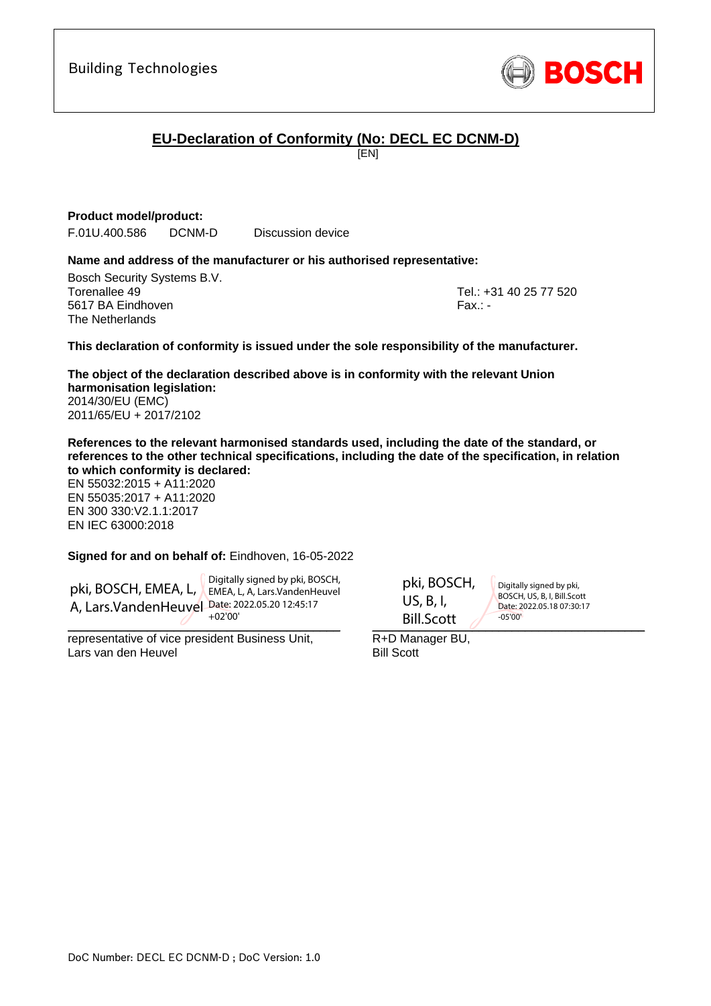# **EU-Declaration of Conformity (No: DECL EC DCNM-D)**

[EN]

#### **Product model/product:**

F.01U.400.586 DCNM-D Discussion device

#### **Name and address of the manufacturer or his authorised representative:**

Bosch Security Systems B.V. Torenallee 49 Tel.: +31 40 25 77 520 5617 BA Eindhoven Fax.: - Fax.: - Fax.: - Fax.: - Fax.: - Fax.: -The Netherlands

<span id="page-0-1"></span><span id="page-0-0"></span>

#### **This declaration of conformity is issued under the sole responsibility of the manufacturer.**

<span id="page-0-2"></span>**The object of the declaration described above is in conformity with the relevant Union harmonisation legislation:** 2014/30/EU (EMC) 2011/65/EU + 2017/2102

**References to the relevant harmonised standards used, including the date of the standard, or references to the other technical specifications, including the date of the specification, in relation to which conformity is declared:**

EN 55032:2015 + A11:2020 EN 55035:2017 + A11:2020 EN 300 330:V2.1.1:2017 EN IEC 63000:2018

#### <span id="page-0-9"></span><span id="page-0-8"></span><span id="page-0-7"></span><span id="page-0-6"></span><span id="page-0-5"></span><span id="page-0-4"></span><span id="page-0-3"></span>**Signed for and on behalf of:** Eindhoven, 16-05-2022

pki, BOSCH, EMEA, L, EMEA, L, A, Lars.VandenHeuvel A, Lars.VandenHeuvel Date: 2022.05.20 12:45:17 Digitally signed by pki, BOSCH, +02'00'

 $\overline{U}$  . The state of  $\overline{U}$ 

representative of vice president Business Unit, Lars van den Heuvel

 $\text{Bill.Scott}$   $\sqrt{1000^\circ}$ US, B, I,

pki, BOSCH,

Digitally signed by pki, BOSCH, US, B, I, Bill.Scott Date: 2022.05.18 07:30:17 -05'00'

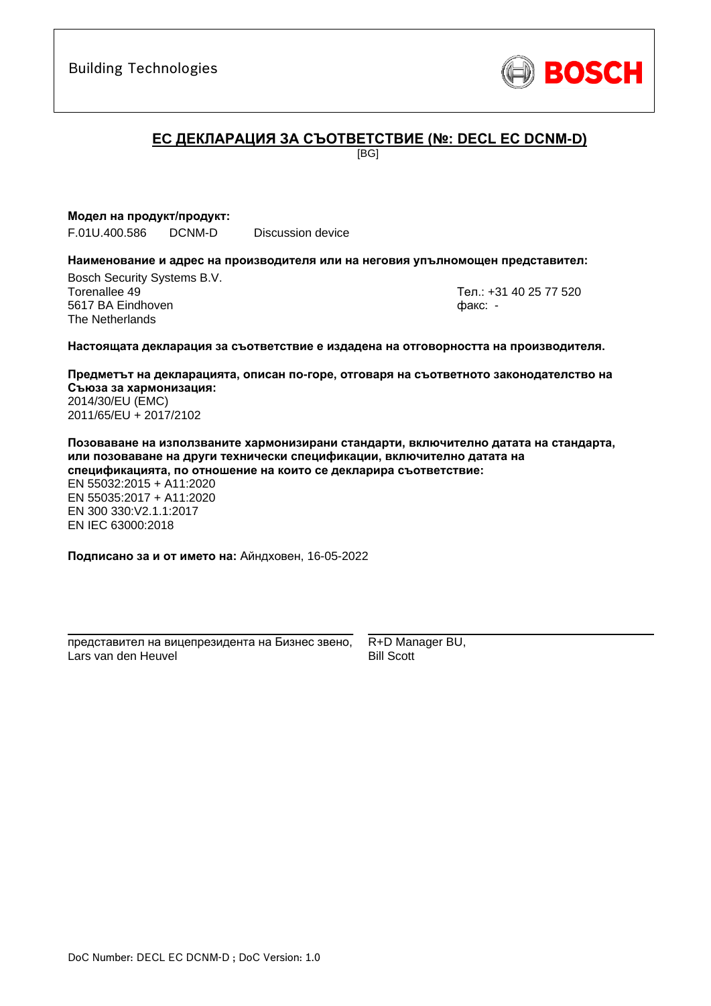

# **ЕC ДЕКЛАРАЦИЯ ЗА СЪОТВЕТСТВИЕ (№: DECL EC DCNM-D)**

[BG]

#### **Модел на продукт/продукт:**

F.01U.400.586 DCNM-D Discussion device

#### **Наименование и адрес на производителя или на неговия упълномощен представител:**

Bosch Security Systems B.V. Torenallee 49 Тел.: [+31 40 25 77 520](#page-0-0) 5617 BA Eindhoven факс: [-](#page-0-1) The Netherlands

\_\_\_\_\_\_\_\_\_\_\_\_\_\_\_\_\_\_\_\_\_\_\_\_\_\_\_\_\_\_\_\_\_\_\_\_\_\_\_\_\_\_\_

#### **Настоящата декларация за съответствие е издадена на отговорността на производителя.**

**Предметът на декларацията, описан по-горе, отговаря на съответното законодателство на Съюза за хармонизация[:](#page-0-2)** [2014/30/EU \(EMC\)](#page-0-2) [2011/65/EU + 2017/2102](#page-0-2)

**Позоваване на използваните хармонизирани стандарти, включително датата на стандарта, или позоваване на други технически спецификации, включително датата на спецификацията, по отношение на които се декларира съответствие:**

EN 55032:2015 + A11:2020 EN 55035:2017 + A11:2020 EN 300 330:V2.1.1:2017 [E](#page-0-4)[N](#page-0-5) [I](#page-0-6)[E](#page-0-7)C 63000:201[8](#page-0-3)

**Подписано за и от името на:** Айндховен, 16-05-2022

\_\_\_\_\_\_\_\_\_\_\_\_\_\_\_\_\_\_\_\_\_\_\_\_\_\_\_\_\_\_\_\_\_\_\_\_\_\_\_\_\_\_\_ представител на вицепрезидента на Бизнес звено, Lars van den Heuvel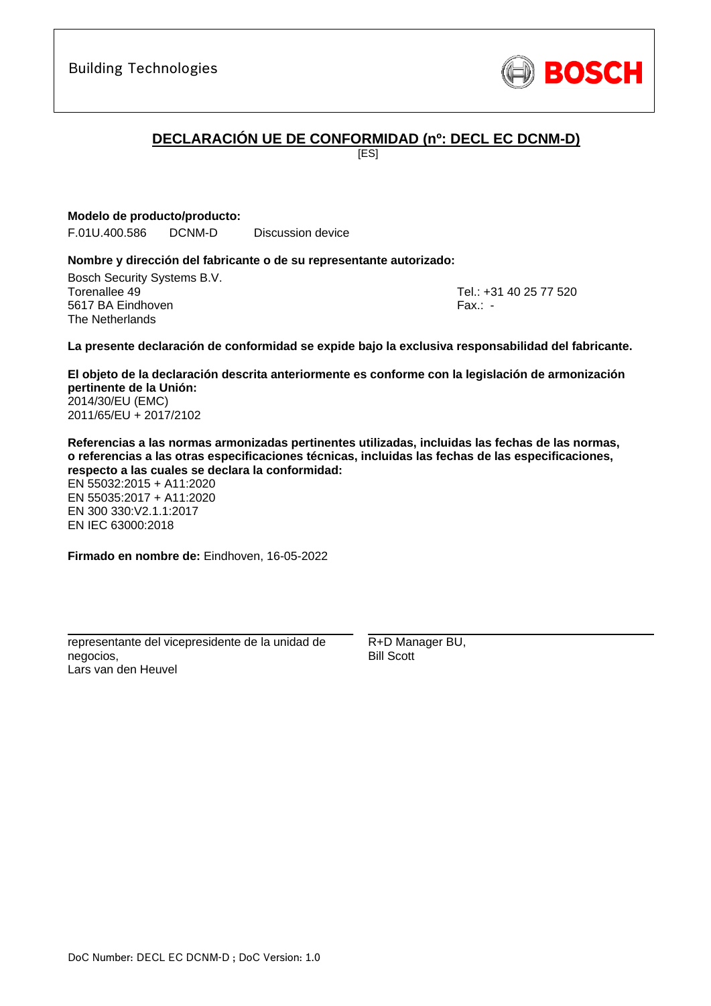# **DECLARACIÓN UE DE CONFORMIDAD (nº: DECL EC DCNM-D)**

[ES]

**Modelo de producto/producto:**

F.01U.400.586 DCNM-D Discussion device

#### **Nombre y dirección del fabricante o de su representante autorizado:**

Bosch Security Systems B.V. Torenallee 49 Tel.: [+31 40 25 77 520](#page-0-0) 5617 BA Eindhoven Fax.: [-](#page-0-1) The Netherlands

\_\_\_\_\_\_\_\_\_\_\_\_\_\_\_\_\_\_\_\_\_\_\_\_\_\_\_\_\_\_\_\_\_\_\_\_\_\_\_\_\_\_\_

#### **La presente declaración de conformidad se expide bajo la exclusiva responsabilidad del fabricante.**

**El objeto de la declaración descrita anteriormente es conforme con la legislación de armonización pertinente de la Unión[:](#page-0-2)** [2014/30/EU \(EMC\)](#page-0-2) [2011/65/EU + 2017/2102](#page-0-2)

**Referencias a las normas armonizadas pertinentes utilizadas, incluidas las fechas de las normas, o referencias a las otras especificaciones técnicas, incluidas las fechas de las especificaciones, respecto a las cuales se declara la conformidad:**

EN 55032:2015 + A11:2020 EN 55035:2017 + A11:2020 EN 300 330:V2.1.1:2017 [E](#page-0-4)[N](#page-0-5) [I](#page-0-6)[E](#page-0-7)C 63000:201[8](#page-0-3)

**Firmado en nombre de:** Eindhoven, 16-05-2022

representante del vicepresidente de la unidad de negocios, Lars van den Heuvel

\_\_\_\_\_\_\_\_\_\_\_\_\_\_\_\_\_\_\_\_\_\_\_\_\_\_\_\_\_\_\_\_\_\_\_\_\_\_\_\_\_\_\_

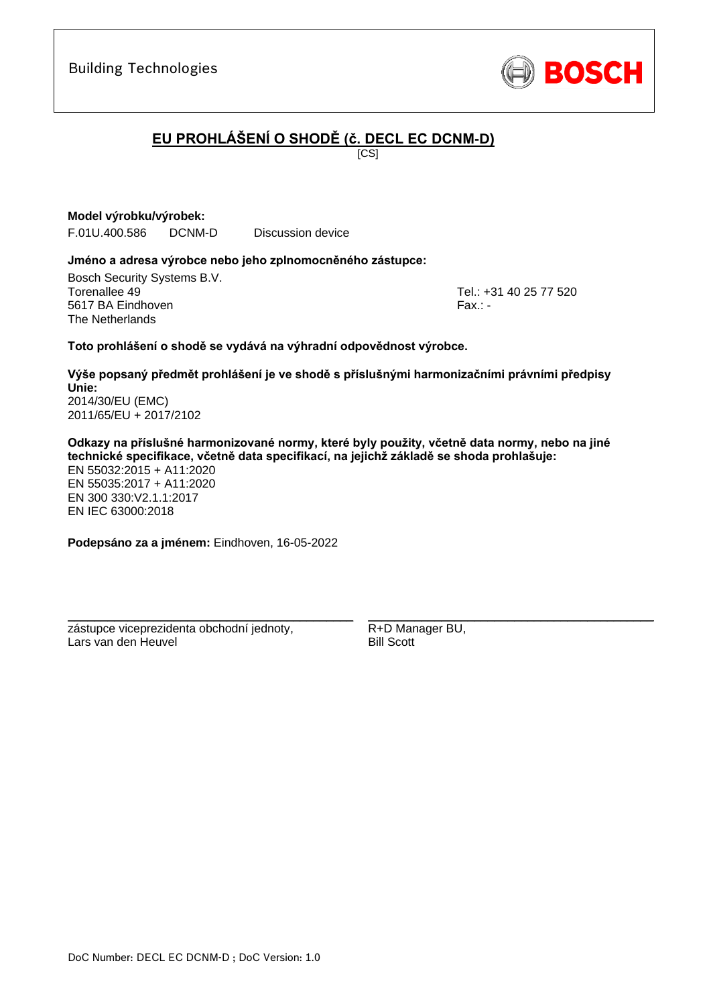# **EU PROHLÁŠENÍ O SHODĚ (č. DECL EC DCNM-D)**

 $\overline{IC}$ SI

**Model výrobku/výrobek:**

F.01U.400.586 DCNM-D Discussion device

#### **Jméno a adresa výrobce nebo jeho zplnomocněného zástupce:**

Bosch Security Systems B.V. Torenallee 49 Tel.: [+31 40 25 77 520](#page-0-0) 5617 BA Eindhoven Fax.: [-](#page-0-1) Fax.: - Fax.: - Fax.: - Fax.: - Fax.: -The Netherlands

\_\_\_\_\_\_\_\_\_\_\_\_\_\_\_\_\_\_\_\_\_\_\_\_\_\_\_\_\_\_\_\_\_\_\_\_\_\_\_\_\_\_\_

#### **Toto prohlášení o shodě se vydává na výhradní odpovědnost výrobce.**

**Výše popsaný předmět prohlášení je ve shodě s příslušnými harmonizačními právními předpisy Unie[:](#page-0-2)** [2014/30/EU \(EMC\)](#page-0-2) [2011/65/EU + 2017/2102](#page-0-2)

**Odkazy na příslušné harmonizované normy, které byly použity, včetně data normy, nebo na jiné technické specifikace, včetně data specifikací, na jejichž základě se shoda prohlašuje:** EN 55032:2015 + A11:2020 EN 55035:2017 + A11:2020

EN 300 330:V2.1.1:[2](#page-0-8)[01](#page-0-9)7 EN IEC 63000:201[8](#page-0-3)

**Podepsáno za a jménem:** Eindhoven, 16-05-2022

\_\_\_\_\_\_\_\_\_\_\_\_\_\_\_\_\_\_\_\_\_\_\_\_\_\_\_\_\_\_\_\_\_\_\_\_\_\_\_\_\_\_\_

zástupce viceprezidenta obchodní jednoty, Lars van den Heuvel

DoC Number: DECL EC DCNM-D ; DoC Version: 1.0

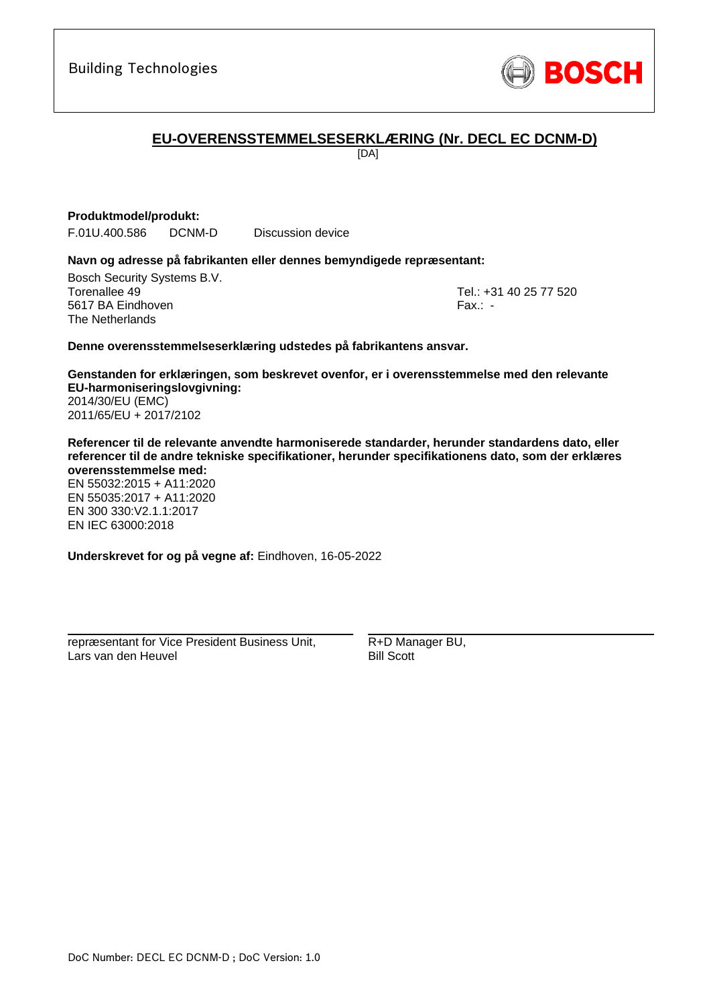

# **EU-OVERENSSTEMMELSESERKLÆRING (Nr. DECL EC DCNM-D)**

[DA]

#### **Produktmodel/produkt:**

F.01U.400.586 DCNM-D Discussion device

#### **Navn og adresse på fabrikanten eller dennes bemyndigede repræsentant:**

Bosch Security Systems B.V. Torenallee 49 Tel.: [+31 40 25 77 520](#page-0-0) 5617 BA Eindhoven Fax.: [-](#page-0-1) The Netherlands

\_\_\_\_\_\_\_\_\_\_\_\_\_\_\_\_\_\_\_\_\_\_\_\_\_\_\_\_\_\_\_\_\_\_\_\_\_\_\_\_\_\_\_

#### **Denne overensstemmelseserklæring udstedes på fabrikantens ansvar.**

**Genstanden for erklæringen, som beskrevet ovenfor, er i overensstemmelse med den relevante EU-harmoniseringslovgivning[:](#page-0-2)** [2014/30/EU \(EMC\)](#page-0-2) [2011/65/EU + 2017/2102](#page-0-2)

**Referencer til de relevante anvendte harmoniserede standarder, herunder standardens dato, eller referencer til de andre tekniske specifikationer, herunder specifikationens dato, som der erklæres overensstemmelse med:**

EN 55032:2015 + A11:2020 EN 55035:2017 + A11:2020 EN 300 330:V2.1.1:2017 [E](#page-0-4)[N](#page-0-5) [I](#page-0-6)[E](#page-0-7)C 63000:201[8](#page-0-3)

**Underskrevet for og på vegne af:** Eindhoven, 16-05-2022

repræsentant for Vice President Business Unit, Lars van den Heuvel

\_\_\_\_\_\_\_\_\_\_\_\_\_\_\_\_\_\_\_\_\_\_\_\_\_\_\_\_\_\_\_\_\_\_\_\_\_\_\_\_\_\_\_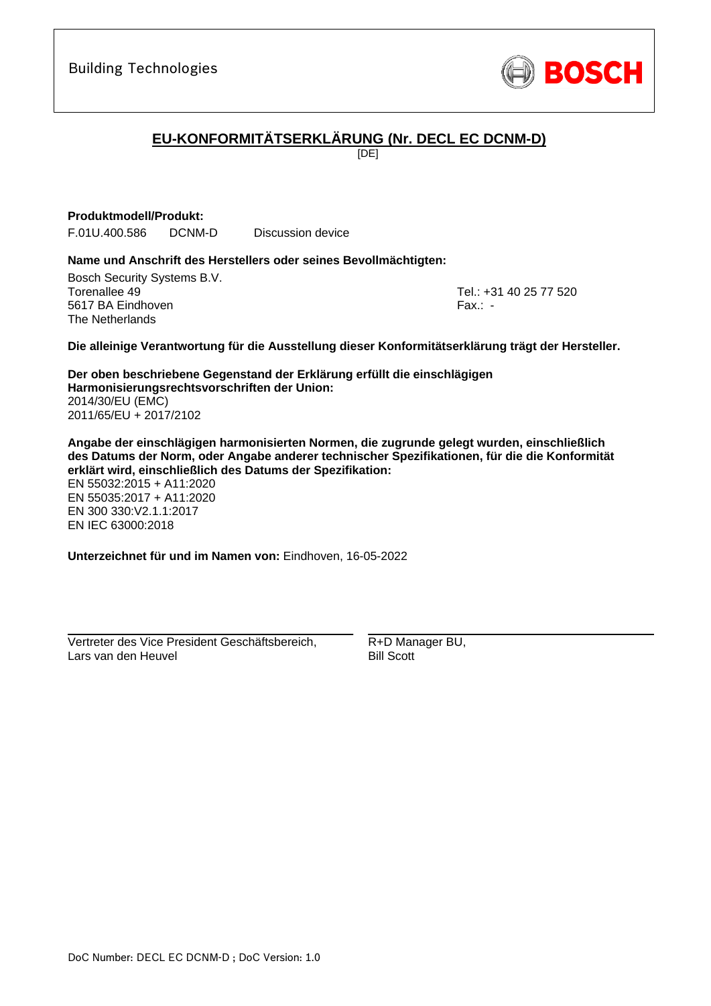

# **EU-KONFORMITÄTSERKLÄRUNG (Nr. DECL EC DCNM-D)**

[DE]

#### **Produktmodell/Produkt:**

F.01U.400.586 DCNM-D Discussion device

#### **Name und Anschrift des Herstellers oder seines Bevollmächtigten:**

Bosch Security Systems B.V. Torenallee 49 Tel.: [+31 40 25 77 520](#page-0-0) 5617 BA Eindhoven Fax.: [-](#page-0-1) The Netherlands

\_\_\_\_\_\_\_\_\_\_\_\_\_\_\_\_\_\_\_\_\_\_\_\_\_\_\_\_\_\_\_\_\_\_\_\_\_\_\_\_\_\_\_

#### **Die alleinige Verantwortung für die Ausstellung dieser Konformitätserklärung trägt der Hersteller.**

**Der oben beschriebene Gegenstand der Erklärung erfüllt die einschlägigen Harmonisierungsrechtsvorschriften der Union[:](#page-0-2)** [2014/30/EU \(EMC\)](#page-0-2) [2011/65/EU + 2017/2102](#page-0-2)

**Angabe der einschlägigen harmonisierten Normen, die zugrunde gelegt wurden, einschließlich des Datums der Norm, oder Angabe anderer technischer Spezifikationen, für die die Konformität erklärt wird, einschließlich des Datums der Spezifikation:**

EN 55032:2015 + A11:2020 EN 55035:2017 + A11:2020 EN 300 330:V2.1.1:2017 [E](#page-0-4)[N](#page-0-5) [I](#page-0-6)[E](#page-0-7)C 63000:201[8](#page-0-3)

**Unterzeichnet für und im Namen von:** Eindhoven, 16-05-2022

Vertreter des Vice President Geschäftsbereich, Lars van den Heuvel

\_\_\_\_\_\_\_\_\_\_\_\_\_\_\_\_\_\_\_\_\_\_\_\_\_\_\_\_\_\_\_\_\_\_\_\_\_\_\_\_\_\_\_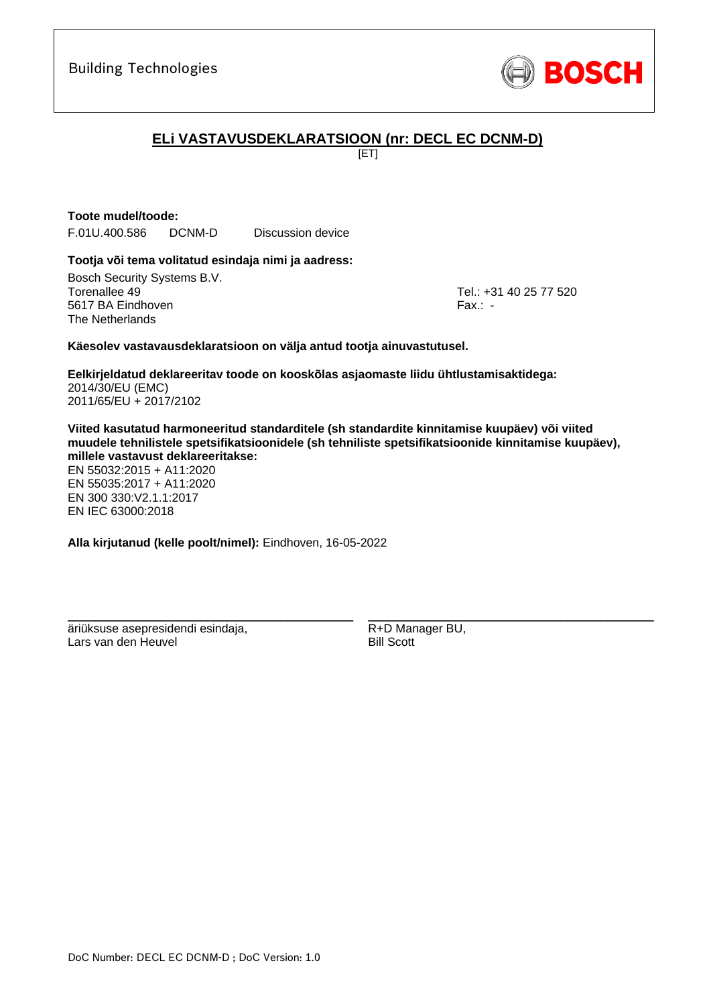

# **ELi VASTAVUSDEKLARATSIOON (nr: DECL EC DCNM-D)**

[ET]

# **Toote mudel/toode:**

F.01U.400.586 DCNM-D Discussion device

#### **Tootja või tema volitatud esindaja nimi ja aadress:**

Bosch Security Systems B.V. Torenallee 49 Tel.: [+31 40 25 77 520](#page-0-0) 5617 BA Eindhoven Fax.: [-](#page-0-1) The Netherlands

\_\_\_\_\_\_\_\_\_\_\_\_\_\_\_\_\_\_\_\_\_\_\_\_\_\_\_\_\_\_\_\_\_\_\_\_\_\_\_\_\_\_\_

#### **Käesolev vastavausdeklaratsioon on välja antud tootja ainuvastutusel.**

**Eelkirjeldatud deklareeritav toode on kooskõlas asjaomaste liidu ühtlustamisaktidega[:](#page-0-2)** [2014/30/EU \(EMC\)](#page-0-2) [2011/65/EU + 2017/2102](#page-0-2)

**Viited kasutatud harmoneeritud standarditele (sh standardite kinnitamise kuupäev) või viited muudele tehnilistele spetsifikatsioonidele (sh tehniliste spetsifikatsioonide kinnitamise kuupäev), millele vastavust deklareeritakse:**

EN 55032:2015 + A11:2020 EN 55035:2017 + A11:2020 EN 300 330:V2.1.1:[2](#page-0-8)[01](#page-0-9)7 EN IEC 63000:201[8](#page-0-3)

**Alla kirjutanud (kelle poolt/nimel):** Eindhoven, 16-05-2022

\_\_\_\_\_\_\_\_\_\_\_\_\_\_\_\_\_\_\_\_\_\_\_\_\_\_\_\_\_\_\_\_\_\_\_\_\_\_\_\_\_\_\_

äriüksuse asepresidendi esindaja, Lars van den Heuvel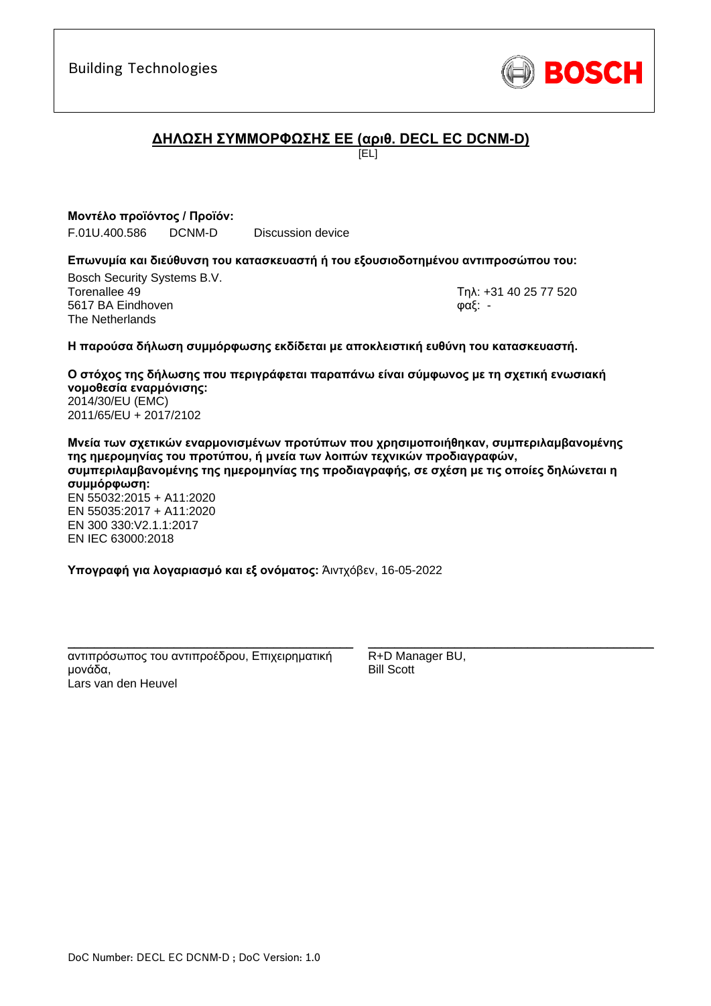

# **ΔΗΛΩΣΗ ΣΥΜΜΟΡΦΩΣΗΣ ΕΕ (αριθ. DECL EC DCNM-D)**

[EL]

**Μοντέλο προϊόντος / Προϊόν:** F.01U.400.586 DCNM-D Discussion device

#### **Επωνυμία και διεύθυνση του κατασκευαστή ή του εξουσιοδοτημένου αντιπροσώπου του:**

Bosch Security Systems B.V. Torenallee 49 Τηλ: [+31 40 25 77 520](#page-0-0) 5617 BA Eindhoven φαξ: [-](#page-0-1) The Netherlands

\_\_\_\_\_\_\_\_\_\_\_\_\_\_\_\_\_\_\_\_\_\_\_\_\_\_\_\_\_\_\_\_\_\_\_\_\_\_\_\_\_\_\_

#### **Η παρούσα δήλωση συμμόρφωσης εκδίδεται με αποκλειστική ευθύνη του κατασκευαστή.**

**Ο στόχος της δήλωσης που περιγράφεται παραπάνω είναι σύμφωνος με τη σχετική ενωσιακή νομοθεσία εναρμόνισης[:](#page-0-2)** [2014/30/EU \(EMC\)](#page-0-2) [2011/65/EU + 2017/2102](#page-0-2)

**Μνεία των σχετικών εναρμονισμένων προτύπων που χρησιμοποιήθηκαν, συμπεριλαμβανομένης της ημερομηνίας του προτύπου, ή μνεία των λοιπών τεχνικών προδιαγραφών, συμπεριλαμβανομένης της ημερομηνίας της προδιαγραφής, σε σχέση με τις οποίες δηλώνεται η συμμόρφωση:** EN 55032:2015 + A11:2020 EN 55035:2017 + A11:2020 EN 300 330:V2.1.1:[2](#page-0-8)[01](#page-0-9)7 EN IEC 63000:201[8](#page-0-3)

**Υπογραφή για λογαριασμό και εξ ονόματος:** Άιντχόβεν, 16-05-2022

\_\_\_\_\_\_\_\_\_\_\_\_\_\_\_\_\_\_\_\_\_\_\_\_\_\_\_\_\_\_\_\_\_\_\_\_\_\_\_\_\_\_\_ αντιπρόσωπος του αντιπροέδρου, Επιχειρηματική μονάδα, Lars van den Heuvel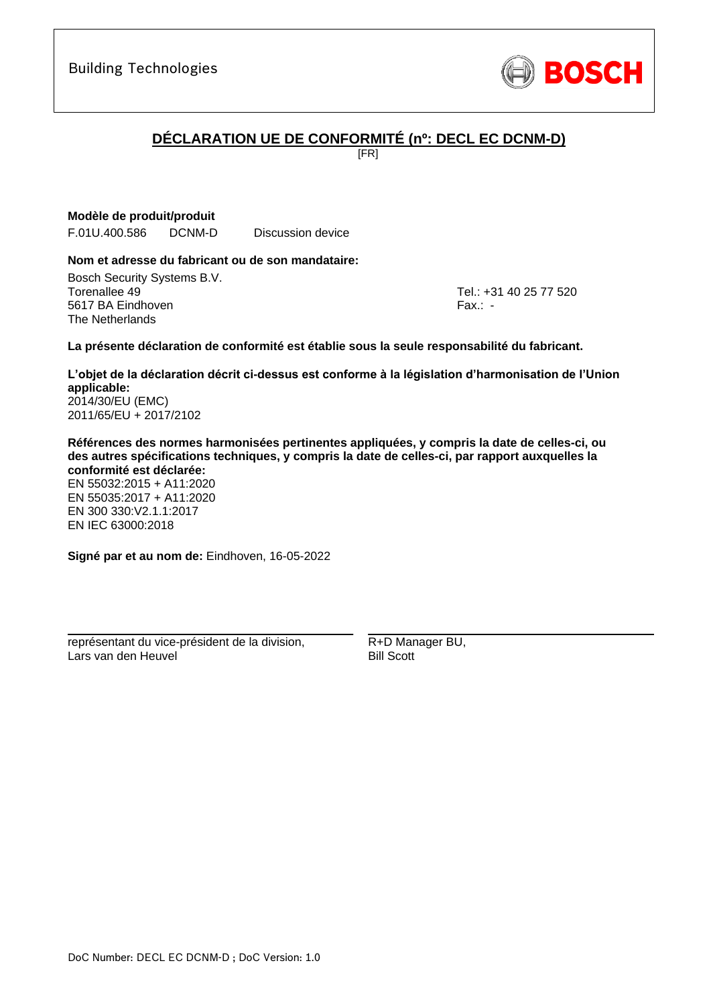

# **DÉCLARATION UE DE CONFORMITÉ (nº: DECL EC DCNM-D)**

[FR]

### **Modèle de produit/produit**

F.01U.400.586 DCNM-D Discussion device

#### **Nom et adresse du fabricant ou de son mandataire:**

Bosch Security Systems B.V. Torenallee 49 Tel.: [+31 40 25 77 520](#page-0-0) 5617 BA Eindhoven Fax.: [-](#page-0-1) The Netherlands

\_\_\_\_\_\_\_\_\_\_\_\_\_\_\_\_\_\_\_\_\_\_\_\_\_\_\_\_\_\_\_\_\_\_\_\_\_\_\_\_\_\_\_

#### **La présente déclaration de conformité est établie sous la seule responsabilité du fabricant.**

**L'objet de la déclaration décrit ci-dessus est conforme à la législation d'harmonisation de l'Union applicable[:](#page-0-2)** [2014/30/EU \(EMC\)](#page-0-2)

[2011/65/EU + 2017/2102](#page-0-2)

**Références des normes harmonisées pertinentes appliquées, y compris la date de celles-ci, ou des autres spécifications techniques, y compris la date de celles-ci, par rapport auxquelles la conformité est déclarée:**

EN 55032:2015 + A11:2020 EN 55035:2017 + A11:2020 EN 300 330:V2.1.1:2017 [E](#page-0-4)[N](#page-0-5) [I](#page-0-6)[E](#page-0-7)C 63000:201[8](#page-0-3)

**Signé par et au nom de:** Eindhoven, 16-05-2022

\_\_\_\_\_\_\_\_\_\_\_\_\_\_\_\_\_\_\_\_\_\_\_\_\_\_\_\_\_\_\_\_\_\_\_\_\_\_\_\_\_\_\_

représentant du vice-président de la division, Lars van den Heuvel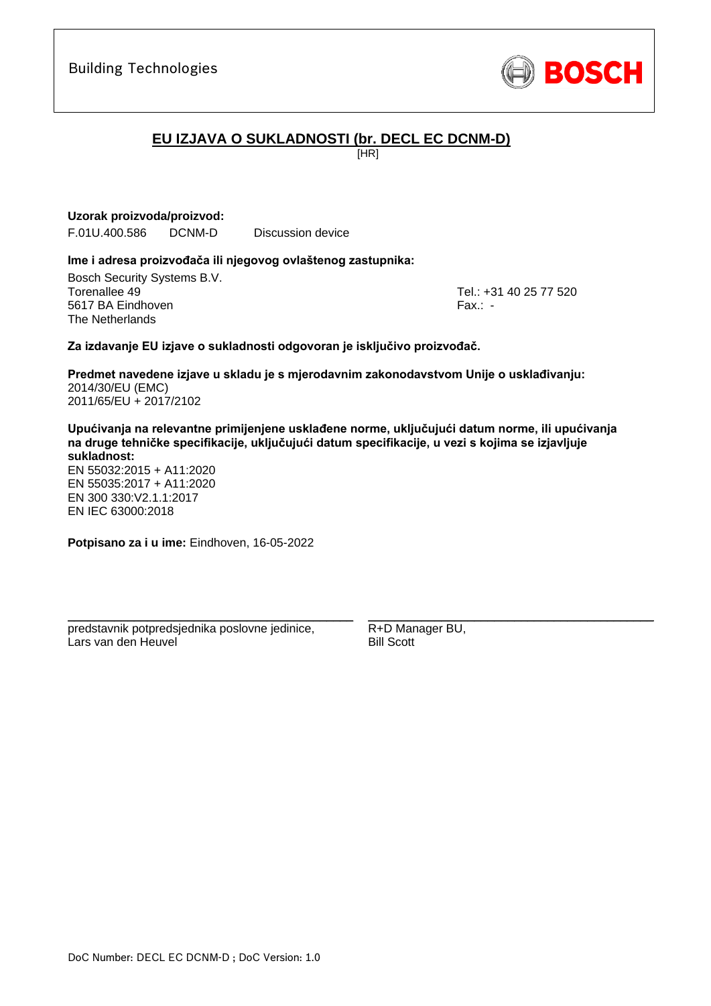

# **EU IZJAVA O SUKLADNOSTI (br. DECL EC DCNM-D)**

[HR]

### **Uzorak proizvoda/proizvod:**

F.01U.400.586 DCNM-D Discussion device

#### **Ime i adresa proizvođača ili njegovog ovlaštenog zastupnika:**

Bosch Security Systems B.V. Torenallee 49 Tel.: [+31 40 25 77 520](#page-0-0) 5617 BA Eindhoven Fax.: [-](#page-0-1) The Netherlands

\_\_\_\_\_\_\_\_\_\_\_\_\_\_\_\_\_\_\_\_\_\_\_\_\_\_\_\_\_\_\_\_\_\_\_\_\_\_\_\_\_\_\_

#### **Za izdavanje EU izjave o sukladnosti odgovoran je isključivo proizvođač.**

**Predmet navedene izjave u skladu je s mjerodavnim zakonodavstvom Unije o usklađivanju[:](#page-0-2)** [2014/30/EU \(EMC\)](#page-0-2) [2011/65/EU + 2017/2102](#page-0-2)

**Upućivanja na relevantne primijenjene usklađene norme, uključujući datum norme, ili upućivanja na druge tehničke specifikacije, uključujući datum specifikacije, u vezi s kojima se izjavljuje sukladnost:**

EN 55032:2015 + A11:2020 EN 55035:2017 + A11:2020 EN 300 330:V2.1.1:[2](#page-0-8)[01](#page-0-9)7 EN IEC 63000:201[8](#page-0-3)

**Potpisano za i u ime:** Eindhoven, 16-05-2022

predstavnik potpredsjednika poslovne jedinice, Lars van den Heuvel

\_\_\_\_\_\_\_\_\_\_\_\_\_\_\_\_\_\_\_\_\_\_\_\_\_\_\_\_\_\_\_\_\_\_\_\_\_\_\_\_\_\_\_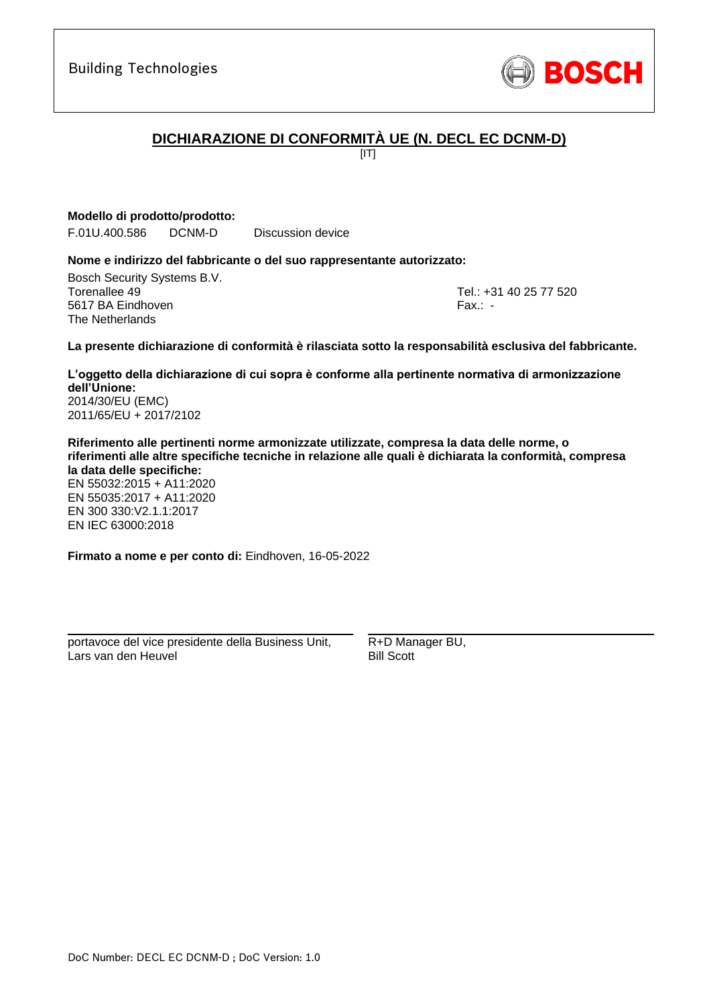

# **DICHIARAZIONE DI CONFORMITÀ UE (N. DECL EC DCNM-D)**

 $[IT]$ 

**Modello di prodotto/prodotto:**

F.01U.400.586 DCNM-D Discussion device

#### **Nome e indirizzo del fabbricante o del suo rappresentante autorizzato:**

Bosch Security Systems B.V. Torenallee 49 Tel.: [+31 40 25 77 520](#page-0-0) 5617 BA Eindhoven Fax.: [-](#page-0-1) The Netherlands

\_\_\_\_\_\_\_\_\_\_\_\_\_\_\_\_\_\_\_\_\_\_\_\_\_\_\_\_\_\_\_\_\_\_\_\_\_\_\_\_\_\_\_

#### **La presente dichiarazione di conformità è rilasciata sotto la responsabilità esclusiva del fabbricante.**

**L'oggetto della dichiarazione di cui sopra è conforme alla pertinente normativa di armonizzazione dell'Unione[:](#page-0-2)** [2014/30/EU \(EMC\)](#page-0-2)

[2011/65/EU + 2017/2102](#page-0-2)

**Riferimento alle pertinenti norme armonizzate utilizzate, compresa la data delle norme, o riferimenti alle altre specifiche tecniche in relazione alle quali è dichiarata la conformità, compresa la data delle specifiche:**

EN 55032:2015 + A11:2020 EN 55035:2017 + A11:2020 EN 300 330:V2.1.1:2017 [E](#page-0-4)[N](#page-0-5) [I](#page-0-6)[E](#page-0-7)C 63000:201[8](#page-0-3)

**Firmato a nome e per conto di:** Eindhoven, 16-05-2022

portavoce del vice presidente della Business Unit, Lars van den Heuvel

\_\_\_\_\_\_\_\_\_\_\_\_\_\_\_\_\_\_\_\_\_\_\_\_\_\_\_\_\_\_\_\_\_\_\_\_\_\_\_\_\_\_\_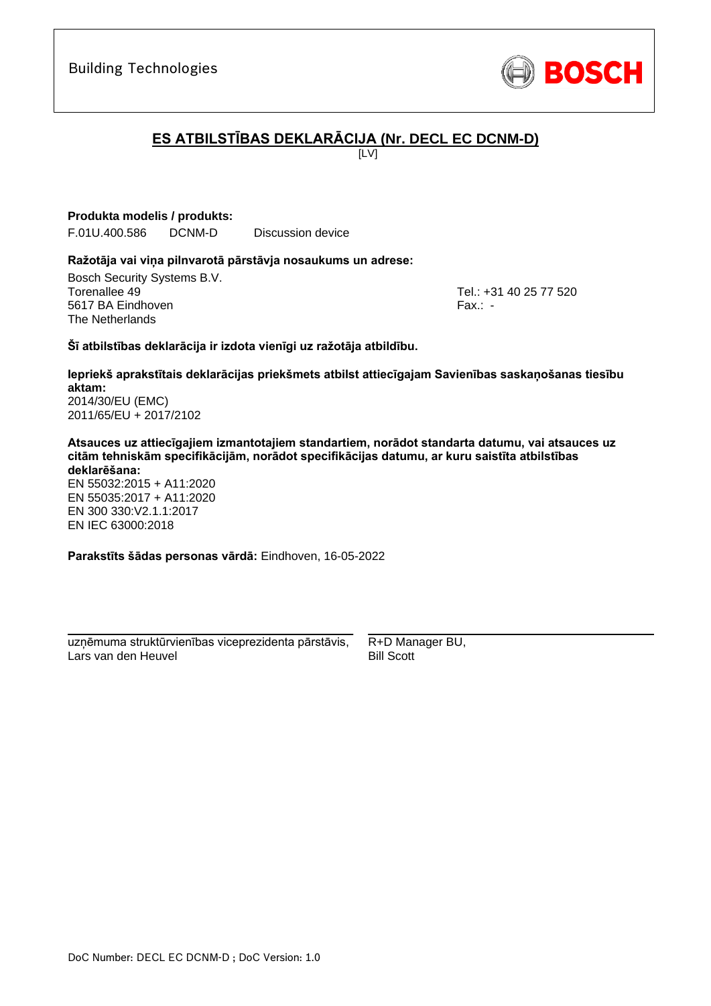# **ES ATBILSTĪBAS DEKLARĀCIJA (Nr. DECL EC DCNM-D)**

 $[IV]$ 

**Produkta modelis / produkts:**

F.01U.400.586 DCNM-D Discussion device

#### **Ražotāja vai viņa pilnvarotā pārstāvja nosaukums un adrese:**

Bosch Security Systems B.V. Torenallee 49 Tel.: [+31 40 25 77 520](#page-0-0) 5617 BA Eindhoven Fax.: [-](#page-0-1) The Netherlands

\_\_\_\_\_\_\_\_\_\_\_\_\_\_\_\_\_\_\_\_\_\_\_\_\_\_\_\_\_\_\_\_\_\_\_\_\_\_\_\_\_\_\_

#### **Šī atbilstības deklarācija ir izdota vienīgi uz ražotāja atbildību.**

**Iepriekš aprakstītais deklarācijas priekšmets atbilst attiecīgajam Savienības saskaņošanas tiesību aktam[:](#page-0-2)** [2014/30/EU \(EMC\)](#page-0-2)

[2011/65/EU + 2017/2102](#page-0-2)

**Atsauces uz attiecīgajiem izmantotajiem standartiem, norādot standarta datumu, vai atsauces uz citām tehniskām specifikācijām, norādot specifikācijas datumu, ar kuru saistīta atbilstības deklarēšana:**

EN 55032:2015 + A11:2020 EN 55035:2017 + A11:2020 EN 300 330:V2.1.1:2017 [E](#page-0-4)[N](#page-0-5) [I](#page-0-6)[E](#page-0-7)C 63000:201[8](#page-0-3)

**Parakstīts šādas personas vārdā:** Eindhoven, 16-05-2022

\_\_\_\_\_\_\_\_\_\_\_\_\_\_\_\_\_\_\_\_\_\_\_\_\_\_\_\_\_\_\_\_\_\_\_\_\_\_\_\_\_\_\_ uzņēmuma struktūrvienības viceprezidenta pārstāvis, Lars van den Heuvel

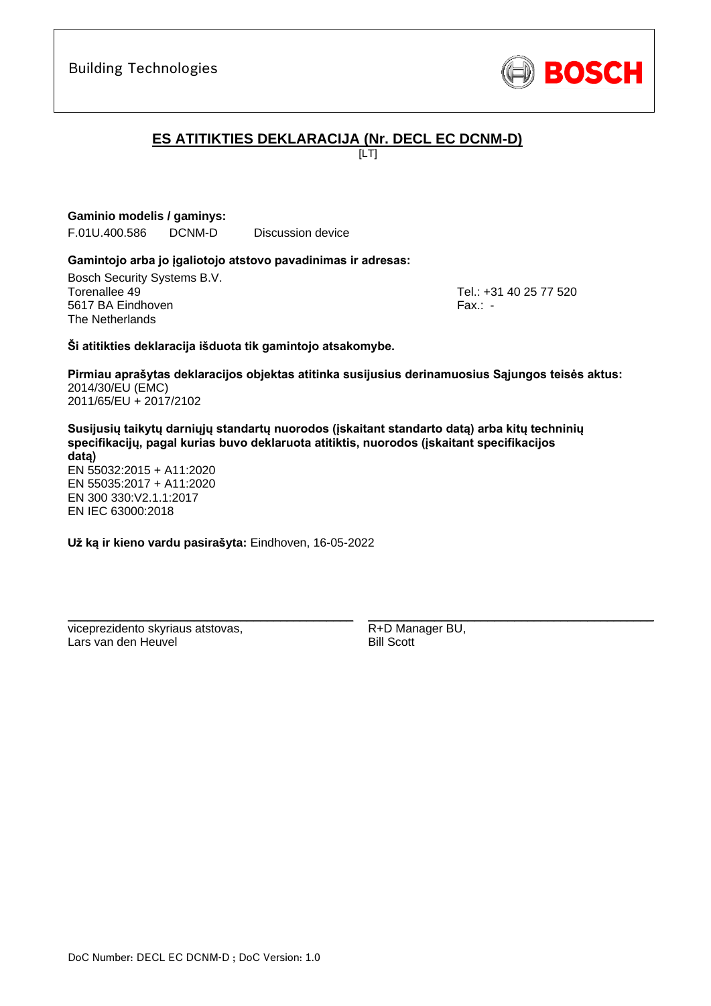

# **ES ATITIKTIES DEKLARACIJA (Nr. DECL EC DCNM-D)**

[LT]

**Gaminio modelis / gaminys:** 

F.01U.400.586 DCNM-D Discussion device

#### **Gamintojo arba jo įgaliotojo atstovo pavadinimas ir adresas:**

Bosch Security Systems B.V. Torenallee 49 Tel.: [+31 40 25 77 520](#page-0-0) 5617 BA Eindhoven Fax.: [-](#page-0-1) The Netherlands

\_\_\_\_\_\_\_\_\_\_\_\_\_\_\_\_\_\_\_\_\_\_\_\_\_\_\_\_\_\_\_\_\_\_\_\_\_\_\_\_\_\_\_

#### **Ši atitikties deklaracija išduota tik gamintojo atsakomybe.**

**Pirmiau aprašytas deklaracijos objektas atitinka susijusius derinamuosius Sąjungos teisės aktus[:](#page-0-2)** [2014/30/EU \(EMC\)](#page-0-2) [2011/65/EU + 2017/2102](#page-0-2)

**Susijusių taikytų darniųjų standartų nuorodos (įskaitant standarto datą) arba kitų techninių specifikacijų, pagal kurias buvo deklaruota atitiktis, nuorodos (įskaitant specifikacijos datą)** EN 55032:2015 + A11:2020 EN 55035:2017 + A11:2020 EN 300 330:V2.1.1:[2](#page-0-8)[01](#page-0-9)7 EN IEC 63000:201[8](#page-0-3)

**Už ką ir kieno vardu pasirašyta:** Eindhoven, 16-05-2022

\_\_\_\_\_\_\_\_\_\_\_\_\_\_\_\_\_\_\_\_\_\_\_\_\_\_\_\_\_\_\_\_\_\_\_\_\_\_\_\_\_\_\_

viceprezidento skyriaus atstovas, Lars van den Heuvel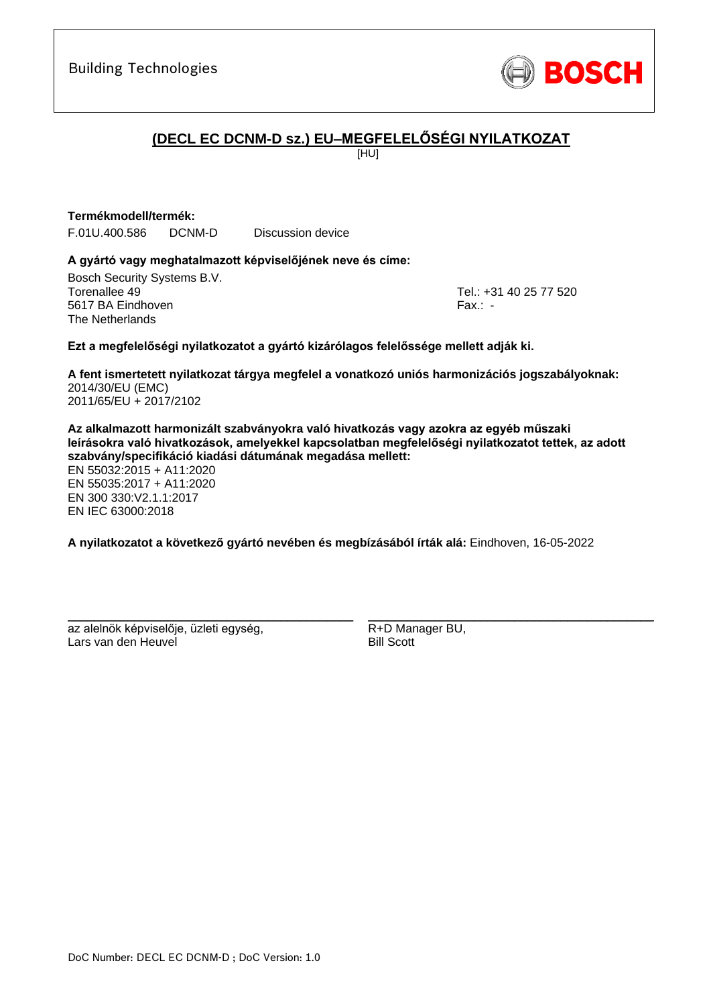

# **(DECL EC DCNM-D sz.) EU–MEGFELELŐSÉGI NYILATKOZAT**

[HU]

#### **Termékmodell/termék:**

F.01U.400.586 DCNM-D Discussion device

#### **A gyártó vagy meghatalmazott képviselőjének neve és címe:**

Bosch Security Systems B.V. Torenallee 49 Tel.: [+31 40 25 77 520](#page-0-0) 5617 BA Eindhoven Fax.: [-](#page-0-1) The Netherlands

\_\_\_\_\_\_\_\_\_\_\_\_\_\_\_\_\_\_\_\_\_\_\_\_\_\_\_\_\_\_\_\_\_\_\_\_\_\_\_\_\_\_\_

#### **Ezt a megfelelőségi nyilatkozatot a gyártó kizárólagos felelőssége mellett adják ki.**

**A fent ismertetett nyilatkozat tárgya megfelel a vonatkozó uniós harmonizációs jogszabályoknak[:](#page-0-2)** [2014/30/EU \(EMC\)](#page-0-2) [2011/65/EU + 2017/2102](#page-0-2)

**Az alkalmazott harmonizált szabványokra való hivatkozás vagy azokra az egyéb műszaki leírásokra való hivatkozások, amelyekkel kapcsolatban megfelelőségi nyilatkozatot tettek, az adott szabvány/specifikáció kiadási dátumának megadása mellett:**

EN 55032:2015 + A11:2020 EN 55035:2017 + A11:2020 EN 300 330:V2.1.1:[2](#page-0-8)[01](#page-0-9)7 EN IEC 63000:201[8](#page-0-3)

**A nyilatkozatot a következő gyártó nevében és megbízásából írták alá:** Eindhoven, 16-05-2022

az alelnök képviselője, üzleti egység, Lars van den Heuvel

\_\_\_\_\_\_\_\_\_\_\_\_\_\_\_\_\_\_\_\_\_\_\_\_\_\_\_\_\_\_\_\_\_\_\_\_\_\_\_\_\_\_\_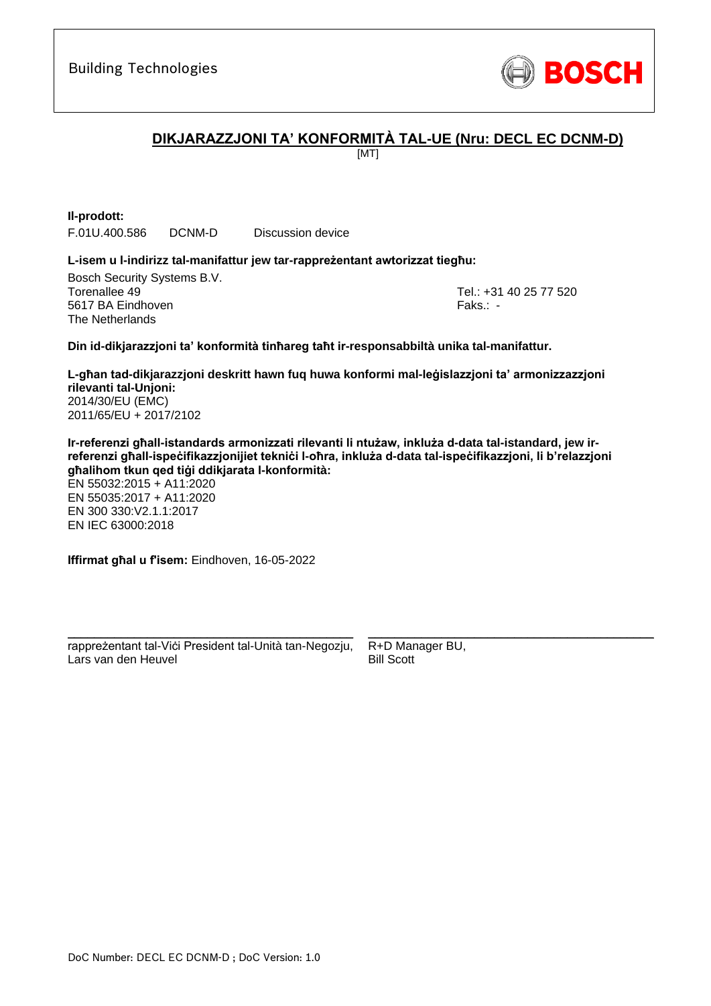

# **DIKJARAZZJONI TA' KONFORMITÀ TAL-UE (Nru: DECL EC DCNM-D)**

[MT]

**Il-prodott:** F.01U.400.586 DCNM-D Discussion device

#### **L-isem u l-indirizz tal-manifattur jew tar-rappreżentant awtorizzat tiegħu:**

Bosch Security Systems B.V. Torenallee 49 Tel.: [+31 40 25 77 520](#page-0-0) 5617 BA Eindhoven Faks.[: -](#page-0-1) Faks.: - Faks.: - Faks.: - Faks.: -The Netherlands

\_\_\_\_\_\_\_\_\_\_\_\_\_\_\_\_\_\_\_\_\_\_\_\_\_\_\_\_\_\_\_\_\_\_\_\_\_\_\_\_\_\_\_

#### **Din id-dikjarazzjoni ta' konformità tinħareg taħt ir-responsabbiltà unika tal-manifattur.**

**L-għan tad-dikjarazzjoni deskritt hawn fuq huwa konformi mal-leġislazzjoni ta' armonizzazzjoni rilevanti tal-Unjoni[:](#page-0-2)** [2014/30/EU \(EMC\)](#page-0-2) [2011/65/EU + 2017/2102](#page-0-2)

**Ir-referenzi għall-istandards armonizzati rilevanti li ntużaw, inkluża d-data tal-istandard, jew irreferenzi għall-ispeċifikazzjonijiet tekniċi l-oħra, inkluża d-data tal-ispeċifikazzjoni, li b'relazzjoni għalihom tkun qed tiġi ddikjarata l-konformità:**

EN 55032:2015 + A11:2020 EN 55035:2017 + A11:2020 EN 300 330:V2.1.1:2017 EN IEC 63000:201[8](#page-0-3)

**Iffirmat għal u f'isem:** Eindhoven, 16-05-2022

\_\_\_\_\_\_\_\_\_\_\_\_\_\_\_\_\_\_\_\_\_\_\_\_\_\_\_\_\_\_\_\_\_\_\_\_\_\_\_\_\_\_\_ rappreżentant tal-Viċi President tal-Unità tan-Negozju, Lars van den Heuvel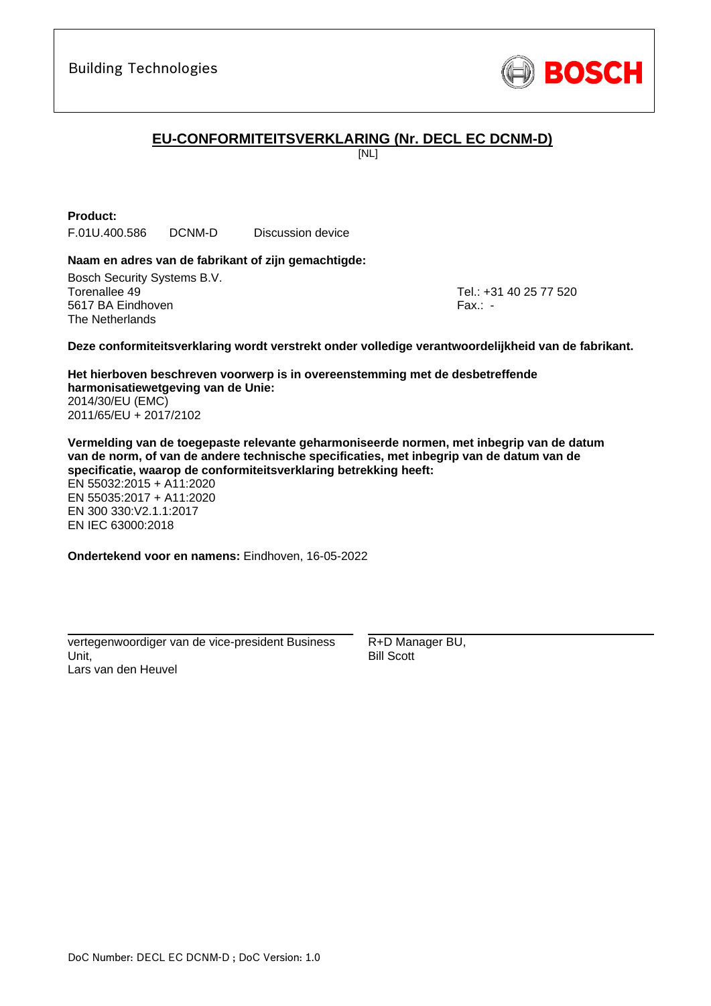

# **EU-CONFORMITEITSVERKLARING (Nr. DECL EC DCNM-D)**

[NL]

**Product:**

F.01U.400.586 DCNM-D Discussion device

#### **Naam en adres van de fabrikant of zijn gemachtigde:**

Bosch Security Systems B.V. Torenallee 49 Tel.: [+31 40 25 77 520](#page-0-0) 5617 BA Eindhoven Fax.: [-](#page-0-1) The Netherlands

\_\_\_\_\_\_\_\_\_\_\_\_\_\_\_\_\_\_\_\_\_\_\_\_\_\_\_\_\_\_\_\_\_\_\_\_\_\_\_\_\_\_\_

#### **Deze conformiteitsverklaring wordt verstrekt onder volledige verantwoordelijkheid van de fabrikant.**

**Het hierboven beschreven voorwerp is in overeenstemming met de desbetreffende harmonisatiewetgeving van de Unie[:](#page-0-2)** [2014/30/EU \(EMC\)](#page-0-2) [2011/65/EU + 2017/2102](#page-0-2)

**Vermelding van de toegepaste relevante geharmoniseerde normen, met inbegrip van de datum van de norm, of van de andere technische specificaties, met inbegrip van de datum van de specificatie, waarop de conformiteitsverklaring betrekking heeft:**

EN 55032:2015 + A11:2020 EN 55035:2017 + A11:2020 EN 300 330:V2.1.1:2017 [E](#page-0-4)[N](#page-0-5) [I](#page-0-6)[E](#page-0-7)C 63000:201[8](#page-0-3)

**Ondertekend voor en namens:** Eindhoven, 16-05-2022

vertegenwoordiger van de vice-president Business Unit, Lars van den Heuvel

\_\_\_\_\_\_\_\_\_\_\_\_\_\_\_\_\_\_\_\_\_\_\_\_\_\_\_\_\_\_\_\_\_\_\_\_\_\_\_\_\_\_\_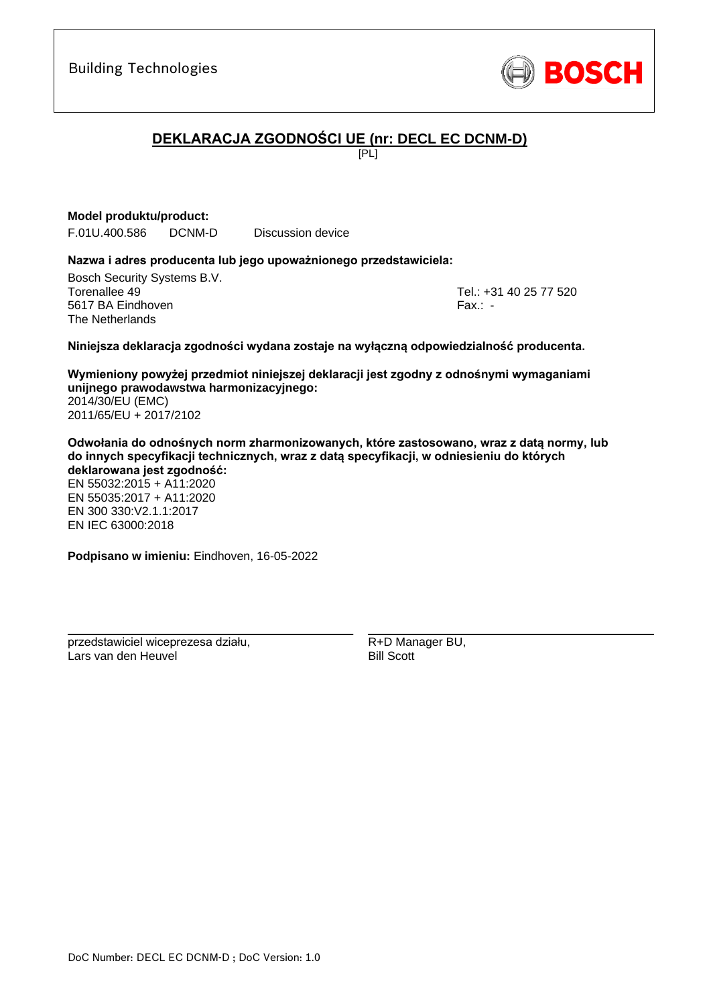

# **DEKLARACJA ZGODNOŚCI UE (nr: DECL EC DCNM-D)**

 $F$  $[PL]$ 

#### **Model produktu/product:**

F.01U.400.586 DCNM-D Discussion device

#### **Nazwa i adres producenta lub jego upoważnionego przedstawiciela:**

Bosch Security Systems B.V. Torenallee 49 Tel.: [+31 40 25 77 520](#page-0-0) 5617 BA Eindhoven Fax.: [-](#page-0-1) The Netherlands

\_\_\_\_\_\_\_\_\_\_\_\_\_\_\_\_\_\_\_\_\_\_\_\_\_\_\_\_\_\_\_\_\_\_\_\_\_\_\_\_\_\_\_

#### **Niniejsza deklaracja zgodności wydana zostaje na wyłączną odpowiedzialność producenta.**

**Wymieniony powyżej przedmiot niniejszej deklaracji jest zgodny z odnośnymi wymaganiami unijnego prawodawstwa harmonizacyjnego[:](#page-0-2)** [2014/30/EU \(EMC\)](#page-0-2) [2011/65/EU + 2017/2102](#page-0-2)

**Odwołania do odnośnych norm zharmonizowanych, które zastosowano, wraz z datą normy, lub do innych specyfikacji technicznych, wraz z datą specyfikacji, w odniesieniu do których deklarowana jest zgodność:**

EN 55032:2015 + A11:2020 EN 55035:2017 + A11:2020 EN 300 330:V2.1.1:2017 [E](#page-0-4)[N](#page-0-5) [I](#page-0-6)[E](#page-0-7)C 63000:201[8](#page-0-3)

**Podpisano w imieniu:** Eindhoven, 16-05-2022

\_\_\_\_\_\_\_\_\_\_\_\_\_\_\_\_\_\_\_\_\_\_\_\_\_\_\_\_\_\_\_\_\_\_\_\_\_\_\_\_\_\_\_

przedstawiciel wiceprezesa działu, Lars van den Heuvel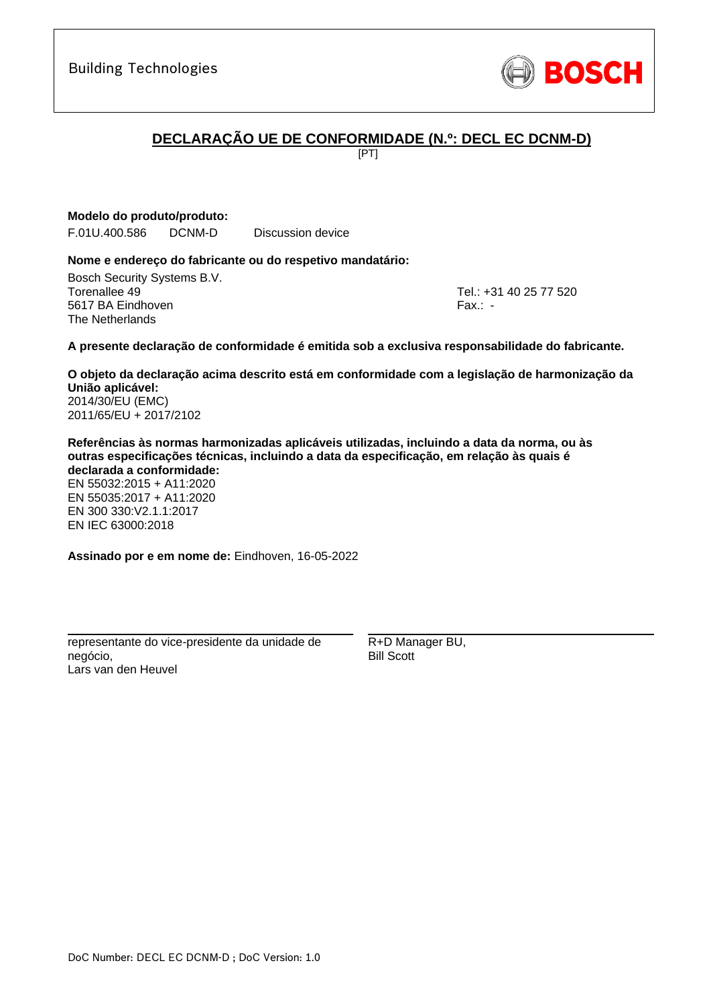# **DECLARAÇÃO UE DE CONFORMIDADE (N.º: DECL EC DCNM-D)**

[PT]

**Modelo do produto/produto:**

F.01U.400.586 DCNM-D Discussion device

#### **Nome e endereço do fabricante ou do respetivo mandatário:**

Bosch Security Systems B.V. Torenallee 49 Tel.: [+31 40 25 77 520](#page-0-0) 5617 BA Eindhoven Fax.: [-](#page-0-1) The Netherlands

\_\_\_\_\_\_\_\_\_\_\_\_\_\_\_\_\_\_\_\_\_\_\_\_\_\_\_\_\_\_\_\_\_\_\_\_\_\_\_\_\_\_\_

#### **A presente declaração de conformidade é emitida sob a exclusiva responsabilidade do fabricante.**

**O objeto da declaração acima descrito está em conformidade com a legislação de harmonização da União aplicável[:](#page-0-2)** [2014/30/EU \(EMC\)](#page-0-2)

[2011/65/EU + 2017/2102](#page-0-2)

**Referências às normas harmonizadas aplicáveis utilizadas, incluindo a data da norma, ou às outras especificações técnicas, incluindo a data da especificação, em relação às quais é declarada a conformidade:**

EN 55032:2015 + A11:2020 EN 55035:2017 + A11:2020 EN 300 330:V2.1.1:2017 [E](#page-0-4)[N](#page-0-5) [I](#page-0-6)[E](#page-0-7)C 63000:201[8](#page-0-3)

**Assinado por e em nome de:** Eindhoven, 16-05-2022

\_\_\_\_\_\_\_\_\_\_\_\_\_\_\_\_\_\_\_\_\_\_\_\_\_\_\_\_\_\_\_\_\_\_\_\_\_\_\_\_\_\_\_

representante do vice-presidente da unidade de negócio, Lars van den Heuvel

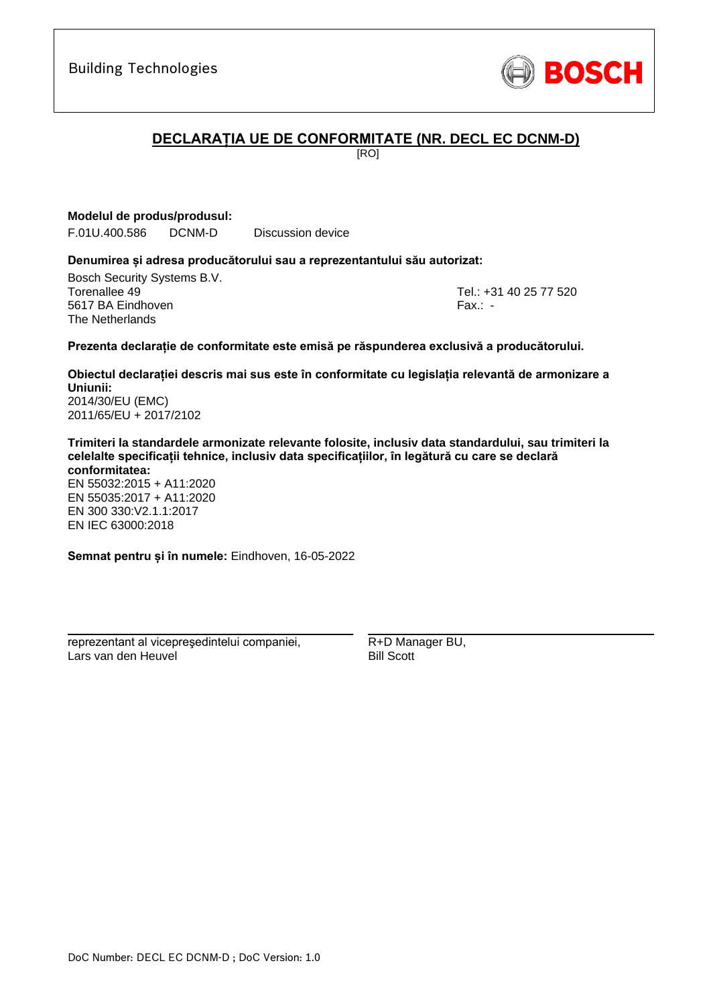[2011/65/EU + 2017/2102](#page-0-2)

**Trimiteri la standardele armonizate relevante folosite, inclusiv data standardului, sau trimiteri la celelalte specificații tehnice, inclusiv data specificațiilor, în legătură cu care se declară conformitatea:**

**Obiectul declarației descris mai sus este în conformitate cu legislația relevantă de armonizare a** 

**Prezenta declarație de conformitate este emisă pe răspunderea exclusivă a producătorului.**

EN 55032:2015 + A11:2020 EN 55035:2017 + A11:2020 EN 300 330:V2.1.1:2017 [E](#page-0-4)[N](#page-0-5) [I](#page-0-6)[E](#page-0-7)C 63000:201[8](#page-0-3)

**Semnat pentru și în numele:** Eindhoven, 16-05-2022

\_\_\_\_\_\_\_\_\_\_\_\_\_\_\_\_\_\_\_\_\_\_\_\_\_\_\_\_\_\_\_\_\_\_\_\_\_\_\_\_\_\_\_

reprezentant al vicepreşedintelui companiei, Lars van den Heuvel

R+D Manager BU, Bill Scott

Building Technologies

## **DECLARAȚIA UE DE CONFORMITATE (NR. DECL EC DCNM-D)**

[RO]

**Modelul de produs/produsul:**

F.01U.400.586 DCNM-D Discussion device

#### **Denumirea și adresa producătorului sau a reprezentantului său autorizat:**

Bosch Security Systems B.V. Torenallee 49 Tel.: [+31 40 25 77 520](#page-0-0) 5617 BA Eindhoven Fax.: [-](#page-0-1) The Netherlands

\_\_\_\_\_\_\_\_\_\_\_\_\_\_\_\_\_\_\_\_\_\_\_\_\_\_\_\_\_\_\_\_\_\_\_\_\_\_\_\_\_\_\_

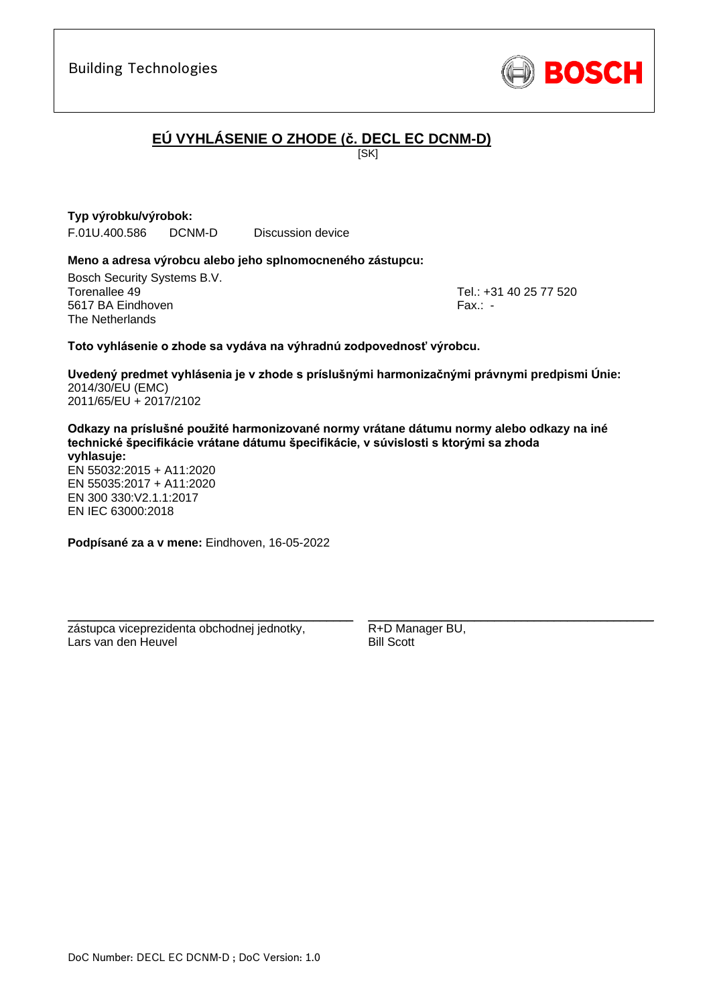

# **EÚ VYHLÁSENIE O ZHODE (č. DECL EC DCNM-D)**

**ISKI** 

**Typ výrobku/výrobok:** F.01U.400.586 DCNM-D Discussion device

#### **Meno a adresa výrobcu alebo jeho splnomocneného zástupcu:**

Bosch Security Systems B.V. Torenallee 49 Tel.: [+31 40 25 77 520](#page-0-0) 5617 BA Eindhoven Fax.: [-](#page-0-1) The Netherlands

\_\_\_\_\_\_\_\_\_\_\_\_\_\_\_\_\_\_\_\_\_\_\_\_\_\_\_\_\_\_\_\_\_\_\_\_\_\_\_\_\_\_\_

#### **Toto vyhlásenie o zhode sa vydáva na výhradnú zodpovednosť výrobcu.**

**Uvedený predmet vyhlásenia je v zhode s príslušnými harmonizačnými právnymi predpismi Únie[:](#page-0-2)** [2014/30/EU \(EMC\)](#page-0-2) [2011/65/EU + 2017/2102](#page-0-2)

**Odkazy na príslušné použité harmonizované normy vrátane dátumu normy alebo odkazy na iné technické špecifikácie vrátane dátumu špecifikácie, v súvislosti s ktorými sa zhoda vyhlasuje:**

EN 55032:2015 + A11:2020 EN 55035:2017 + A11:2020 EN 300 330:V2.1.1:[2](#page-0-8)[01](#page-0-9)7 EN IEC 63000:201[8](#page-0-3)

**Podpísané za a v mene:** Eindhoven, 16-05-2022

\_\_\_\_\_\_\_\_\_\_\_\_\_\_\_\_\_\_\_\_\_\_\_\_\_\_\_\_\_\_\_\_\_\_\_\_\_\_\_\_\_\_\_

zástupca viceprezidenta obchodnej jednotky, Lars van den Heuvel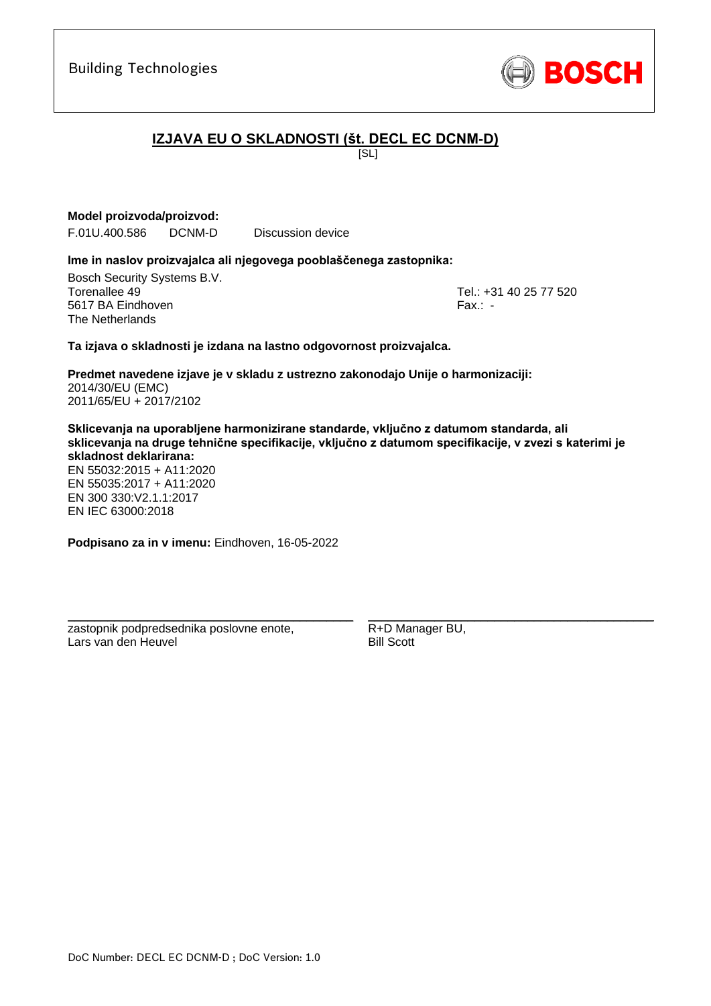

# **IZJAVA EU O SKLADNOSTI (št. DECL EC DCNM-D)**

[SL]

#### **Model proizvoda/proizvod:**

F.01U.400.586 DCNM-D Discussion device

#### **Ime in naslov proizvajalca ali njegovega pooblaščenega zastopnika:**

Bosch Security Systems B.V. Torenallee 49 Tel.: [+31 40 25 77 520](#page-0-0) 5617 BA Eindhoven Fax.: [-](#page-0-1) The Netherlands

\_\_\_\_\_\_\_\_\_\_\_\_\_\_\_\_\_\_\_\_\_\_\_\_\_\_\_\_\_\_\_\_\_\_\_\_\_\_\_\_\_\_\_

#### **Ta izjava o skladnosti je izdana na lastno odgovornost proizvajalca.**

**Predmet navedene izjave je v skladu z ustrezno zakonodajo Unije o harmonizaciji[:](#page-0-2)** [2014/30/EU \(EMC\)](#page-0-2) [2011/65/EU + 2017/2102](#page-0-2)

**Sklicevanja na uporabljene harmonizirane standarde, vključno z datumom standarda, ali sklicevanja na druge tehnične specifikacije, vključno z datumom specifikacije, v zvezi s katerimi je skladnost deklarirana:**

EN 55032:2015 + A11:2020 EN 55035:2017 + A11:2020 EN 300 330:V2.1.1:[2](#page-0-8)[01](#page-0-9)7 EN IEC 63000:201[8](#page-0-3)

**Podpisano za in v imenu:** Eindhoven, 16-05-2022

\_\_\_\_\_\_\_\_\_\_\_\_\_\_\_\_\_\_\_\_\_\_\_\_\_\_\_\_\_\_\_\_\_\_\_\_\_\_\_\_\_\_\_

zastopnik podpredsednika poslovne enote, Lars van den Heuvel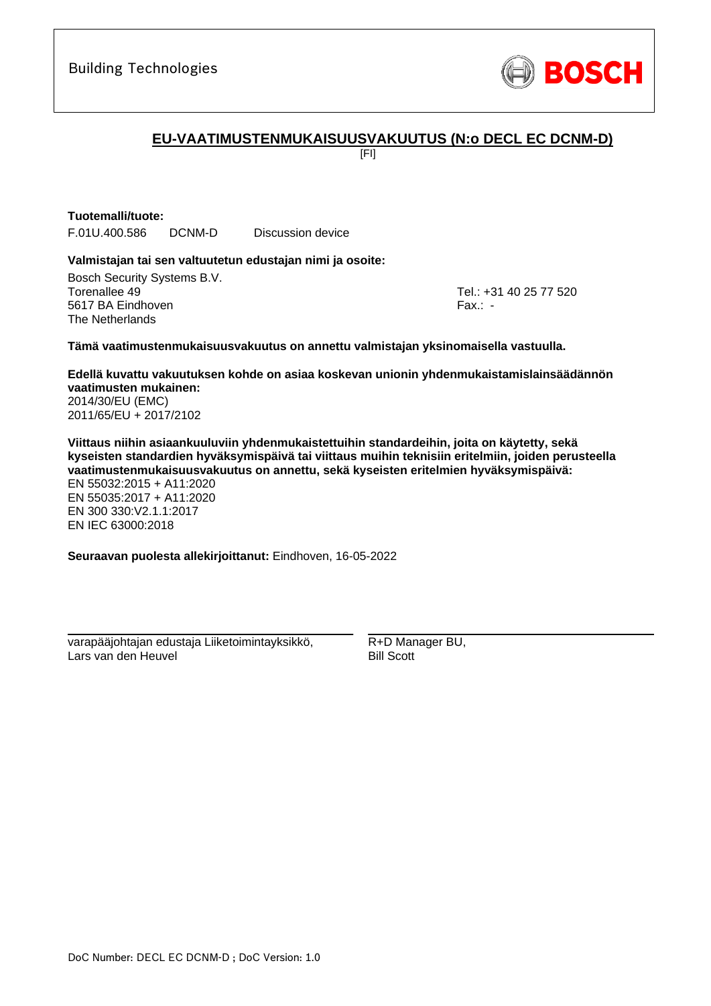

## **EU-VAATIMUSTENMUKAISUUSVAKUUTUS (N:o DECL EC DCNM-D)**

[FI]

# **Tuotemalli/tuote:**

F.01U.400.586 DCNM-D Discussion device

#### **Valmistajan tai sen valtuutetun edustajan nimi ja osoite:**

Bosch Security Systems B.V. Torenallee 49 Tel.: [+31 40 25 77 520](#page-0-0) 5617 BA Eindhoven Fax.: [-](#page-0-1) The Netherlands

\_\_\_\_\_\_\_\_\_\_\_\_\_\_\_\_\_\_\_\_\_\_\_\_\_\_\_\_\_\_\_\_\_\_\_\_\_\_\_\_\_\_\_

#### **Tämä vaatimustenmukaisuusvakuutus on annettu valmistajan yksinomaisella vastuulla.**

**Edellä kuvattu vakuutuksen kohde on asiaa koskevan unionin yhdenmukaistamislainsäädännön vaatimusten mukainen[:](#page-0-2)** [2014/30/EU \(EMC\)](#page-0-2)

[2011/65/EU + 2017/2102](#page-0-2)

**Viittaus niihin asiaankuuluviin yhdenmukaistettuihin standardeihin, joita on käytetty, sekä kyseisten standardien hyväksymispäivä tai viittaus muihin teknisiin eritelmiin, joiden perusteella vaatimustenmukaisuusvakuutus on annettu, sekä kyseisten eritelmien hyväksymispäivä:**

EN 55032:2015 + A11:2020 EN 55035:2017 + A11:2020 EN 300 330:V2.1.1:2017 [E](#page-0-4)[N](#page-0-5) [I](#page-0-6)[E](#page-0-7)C 63000:201[8](#page-0-3)

**Seuraavan puolesta allekirjoittanut:** Eindhoven, 16-05-2022

varapääjohtajan edustaja Liiketoimintayksikkö, Lars van den Heuvel

\_\_\_\_\_\_\_\_\_\_\_\_\_\_\_\_\_\_\_\_\_\_\_\_\_\_\_\_\_\_\_\_\_\_\_\_\_\_\_\_\_\_\_